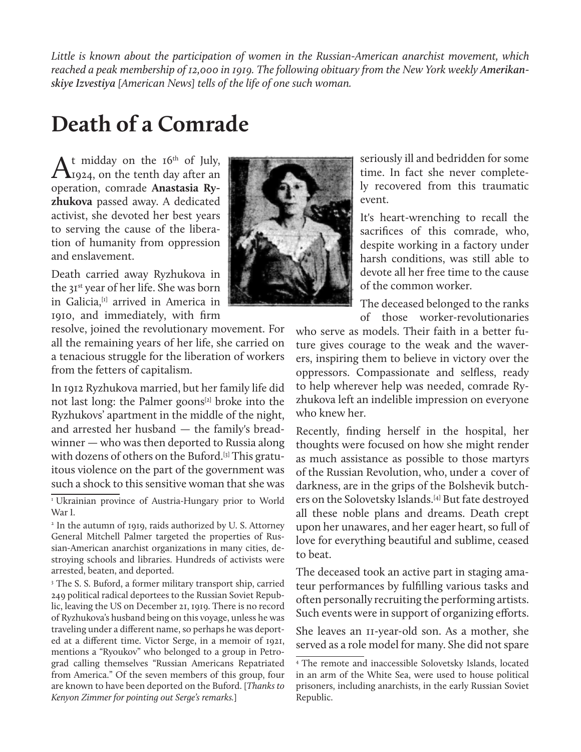*Little is known about the participation of women in the Russian-American anarchist movement, which*  reached a peak membership of 12,000 in 1919. The following obituary from the New York weekly Amerikan*skiye Izvestiya [American News] tells of the life of one such woman.*

## **Death of a Comrade**

 $A<sup>t</sup>$  midday on the 16<sup>th</sup> of July,<br> $A<sub>1924</sub>$ , on the tenth day after an operation, comrade **Anastasia Ryzhukova** passed away. A dedicated activist, she devoted her best years to serving the cause of the liberation of humanity from oppression and enslavement.

Death carried away Ryzhukova in the 31st year of her life. She was born in Galicia,<sup>[1]</sup> arrived in America in 1910, and immediately, with firm

resolve, joined the revolutionary movement. For all the remaining years of her life, she carried on a tenacious struggle for the liberation of workers from the fetters of capitalism.

In 1912 Ryzhukova married, but her family life did not last long: the Palmer goons<sup>[2]</sup> broke into the Ryzhukovs' apartment in the middle of the night, and arrested her husband — the family's breadwinner — who was then deported to Russia along with dozens of others on the Buford.<sup>[3]</sup> This gratuitous violence on the part of the government was such a shock to this sensitive woman that she was

<sup>3</sup> The S. S. Buford, a former military transport ship, carried 249 political radical deportees to the Russian Soviet Republic, leaving the US on December 21, 1919. There is no record of Ryzhukova's husband being on this voyage, unless he was traveling under a different name, so perhaps he was deported at a different time. Victor Serge, in a memoir of 1921, mentions a "Ryoukov" who belonged to a group in Petrograd calling themselves "Russian Americans Repatriated from America." Of the seven members of this group, four are known to have been deported on the Buford. [*Thanks to Kenyon Zimmer for pointing out Serge's remarks.*]



seriously ill and bedridden for some time. In fact she never completely recovered from this traumatic event.

It's heart-wrenching to recall the sacrifices of this comrade, who, despite working in a factory under harsh conditions, was still able to devote all her free time to the cause of the common worker.

The deceased belonged to the ranks of those worker-revolutionaries

who serve as models. Their faith in a better future gives courage to the weak and the waverers, inspiring them to believe in victory over the oppressors. Compassionate and selfless, ready to help wherever help was needed, comrade Ryzhukova left an indelible impression on everyone who knew her.

Recently, finding herself in the hospital, her thoughts were focused on how she might render as much assistance as possible to those martyrs of the Russian Revolution, who, under a cover of darkness, are in the grips of the Bolshevik butchers on the Solovetsky Islands.[4] But fate destroyed all these noble plans and dreams. Death crept upon her unawares, and her eager heart, so full of love for everything beautiful and sublime, ceased to beat.

The deceased took an active part in staging amateur performances by fulfilling various tasks and often personally recruiting the performing artists. Such events were in support of organizing efforts.

She leaves an 11-year-old son. As a mother, she served as a role model for many. She did not spare

<sup>&</sup>lt;sup>1</sup> Ukrainian province of Austria-Hungary prior to World War I.

<sup>2</sup> In the autumn of 1919, raids authorized by U. S. Attorney General Mitchell Palmer targeted the properties of Russian-American anarchist organizations in many cities, destroying schools and libraries. Hundreds of activists were arrested, beaten, and deported.

<sup>4</sup> The remote and inaccessible Solovetsky Islands, located in an arm of the White Sea, were used to house political prisoners, including anarchists, in the early Russian Soviet Republic.